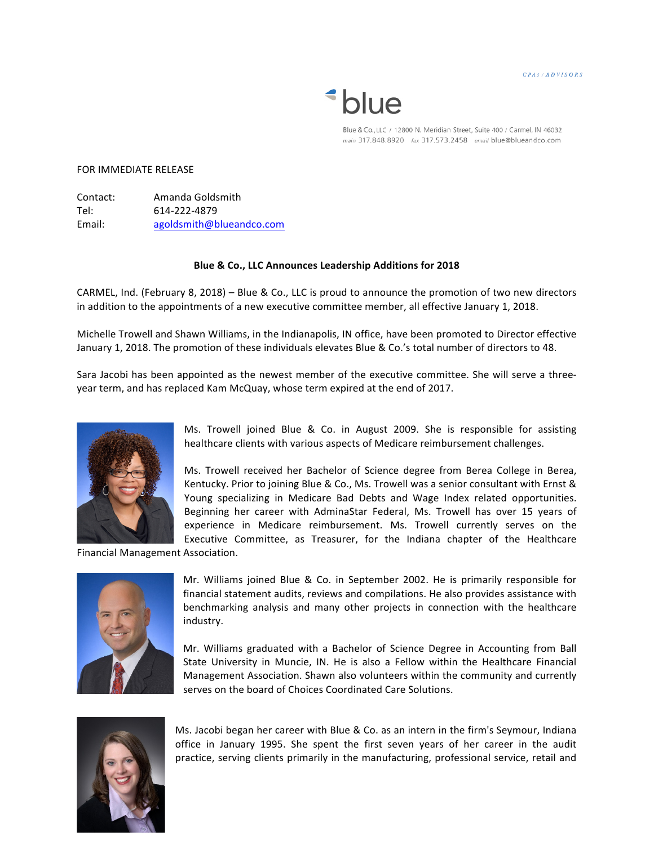CPAS/ADVISORS

## *\*blue*

Blue & Co., LLC / 12800 N. Meridian Street, Suite 400 / Carmel, IN 46032 main 317.848.8920 fax 317.573.2458 email blue@blueandco.com

## FOR IMMEDIATE RELEASE

Contact: Amanda Goldsmith Tel: 614-222-4879 Email: agoldsmith@blueandco.com

## **Blue & Co., LLC Announces Leadership Additions for 2018**

CARMEL, Ind. (February 8, 2018) – Blue & Co., LLC is proud to announce the promotion of two new directors in addition to the appointments of a new executive committee member, all effective January 1, 2018.

Michelle Trowell and Shawn Williams, in the Indianapolis, IN office, have been promoted to Director effective January 1, 2018. The promotion of these individuals elevates Blue & Co.'s total number of directors to 48.

Sara Jacobi has been appointed as the newest member of the executive committee. She will serve a threeyear term, and has replaced Kam McQuay, whose term expired at the end of 2017.



Ms. Trowell joined Blue & Co. in August 2009. She is responsible for assisting healthcare clients with various aspects of Medicare reimbursement challenges.

Ms. Trowell received her Bachelor of Science degree from Berea College in Berea, Kentucky. Prior to joining Blue & Co., Ms. Trowell was a senior consultant with Ernst & Young specializing in Medicare Bad Debts and Wage Index related opportunities. Beginning her career with AdminaStar Federal, Ms. Trowell has over 15 years of experience in Medicare reimbursement. Ms. Trowell currently serves on the Executive Committee, as Treasurer, for the Indiana chapter of the Healthcare

Financial Management Association.



Mr. Williams joined Blue & Co. in September 2002. He is primarily responsible for financial statement audits, reviews and compilations. He also provides assistance with benchmarking analysis and many other projects in connection with the healthcare industry.

Mr. Williams graduated with a Bachelor of Science Degree in Accounting from Ball State University in Muncie, IN. He is also a Fellow within the Healthcare Financial Management Association. Shawn also volunteers within the community and currently serves on the board of Choices Coordinated Care Solutions.



Ms. Jacobi began her career with Blue & Co. as an intern in the firm's Seymour, Indiana office in January 1995. She spent the first seven years of her career in the audit practice, serving clients primarily in the manufacturing, professional service, retail and